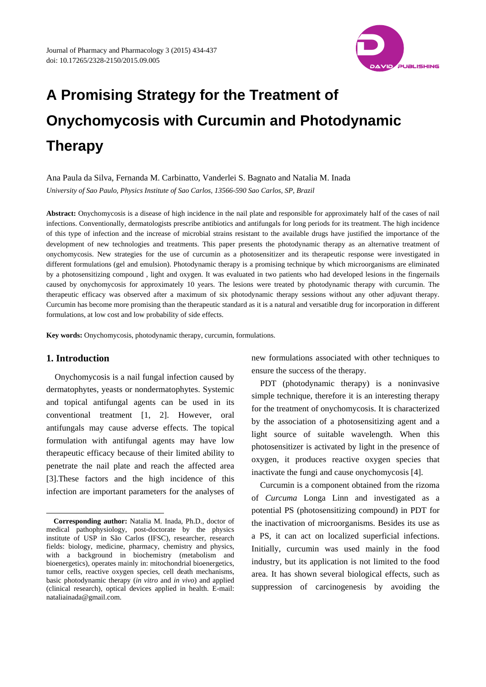

# **A Promising Strategy for the Treatment of Onychomycosis with Curcumin and Photodynamic Therapy**

Ana Paula da Silva, Fernanda M. Carbinatto, Vanderlei S. Bagnato and Natalia M. Inada *University of Sao Paulo, Physics Institute of Sao Carlos, 13566-590 Sao Carlos, SP, Brazil* 

**Abstract:** Onychomycosis is a disease of high incidence in the nail plate and responsible for approximately half of the cases of nail infections. Conventionally, dermatologists prescribe antibiotics and antifungals for long periods for its treatment. The high incidence of this type of infection and the increase of microbial strains resistant to the available drugs have justified the importance of the development of new technologies and treatments. This paper presents the photodynamic therapy as an alternative treatment of onychomycosis. New strategies for the use of curcumin as a photosensitizer and its therapeutic response were investigated in different formulations (gel and emulsion). Photodynamic therapy is a promising technique by which microorganisms are eliminated by a photosensitizing compound , light and oxygen. It was evaluated in two patients who had developed lesions in the fingernails caused by onychomycosis for approximately 10 years. The lesions were treated by photodynamic therapy with curcumin. The therapeutic efficacy was observed after a maximum of six photodynamic therapy sessions without any other adjuvant therapy. Curcumin has become more promising than the therapeutic standard as it is a natural and versatible drug for incorporation in different formulations, at low cost and low probability of side effects.

**Key words:** Onychomycosis, photodynamic therapy, curcumin, formulations.

## **1. Introduction**

 $\overline{\phantom{a}}$ 

Onychomycosis is a nail fungal infection caused by dermatophytes, yeasts or nondermatophytes. Systemic and topical antifungal agents can be used in its conventional treatment [1, 2]. However, oral antifungals may cause adverse effects. The topical formulation with antifungal agents may have low therapeutic efficacy because of their limited ability to penetrate the nail plate and reach the affected area [3].These factors and the high incidence of this infection are important parameters for the analyses of new formulations associated with other techniques to ensure the success of the therapy.

PDT (photodynamic therapy) is a noninvasive simple technique, therefore it is an interesting therapy for the treatment of onychomycosis. It is characterized by the association of a photosensitizing agent and a light source of suitable wavelength. When this photosensitizer is activated by light in the presence of oxygen, it produces reactive oxygen species that inactivate the fungi and cause onychomycosis [4].

Curcumin is a component obtained from the rizoma of *Curcuma* Longa Linn and investigated as a potential PS (photosensitizing compound) in PDT for the inactivation of microorganisms. Besides its use as a PS, it can act on localized superficial infections. Initially, curcumin was used mainly in the food industry, but its application is not limited to the food area. It has shown several biological effects, such as suppression of carcinogenesis by avoiding the

**Corresponding author:** Natalia M. Inada, Ph.D., doctor of medical pathophysiology, post-doctorate by the physics institute of USP in São Carlos (IFSC), researcher, research fields: biology, medicine, pharmacy, chemistry and physics, with a background in biochemistry (metabolism and bioenergetics), operates mainly in: mitochondrial bioenergetics, tumor cells, reactive oxygen species, cell death mechanisms, basic photodynamic therapy (*in vitro* and *in vivo*) and applied (clinical research), optical devices applied in health. E-mail: nataliainada@gmail.com.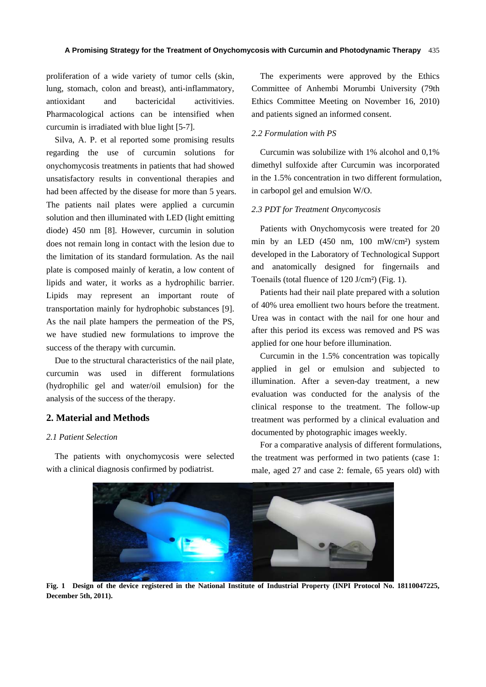proliferation of a wide variety of tumor cells (skin, lung, stomach, colon and breast), anti-inflammatory, antioxidant and bactericidal activitivies. Pharmacological actions can be intensified when curcumin is irradiated with blue light [5-7].

Silva, A. P. et al reported some promising results regarding the use of curcumin solutions for onychomycosis treatments in patients that had showed unsatisfactory results in conventional therapies and had been affected by the disease for more than 5 years. The patients nail plates were applied a curcumin solution and then illuminated with LED (light emitting diode) 450 nm [8]. However, curcumin in solution does not remain long in contact with the lesion due to the limitation of its standard formulation. As the nail plate is composed mainly of keratin, a low content of lipids and water, it works as a hydrophilic barrier. Lipids may represent an important route of transportation mainly for hydrophobic substances [9]. As the nail plate hampers the permeation of the PS, we have studied new formulations to improve the success of the therapy with curcumin.

Due to the structural characteristics of the nail plate, curcumin was used in different formulations (hydrophilic gel and water/oil emulsion) for the analysis of the success of the therapy.

## **2. Material and Methods**

#### *2.1 Patient Selection*

The patients with onychomycosis were selected with a clinical diagnosis confirmed by podiatrist.

The experiments were approved by the Ethics Committee of Anhembi Morumbi University (79th Ethics Committee Meeting on November 16, 2010) and patients signed an informed consent.

### *2.2 Formulation with PS*

Curcumin was solubilize with 1% alcohol and 0,1% dimethyl sulfoxide after Curcumin was incorporated in the 1.5% concentration in two different formulation, in carbopol gel and emulsion W/O.

#### *2.3 PDT for Treatment Onycomycosis*

Patients with Onychomycosis were treated for 20 min by an LED (450 nm, 100 mW/cm²) system developed in the Laboratory of Technological Support and anatomically designed for fingernails and Toenails (total fluence of 120 J/cm²) (Fig. 1).

Patients had their nail plate prepared with a solution of 40% urea emollient two hours before the treatment. Urea was in contact with the nail for one hour and after this period its excess was removed and PS was applied for one hour before illumination.

Curcumin in the 1.5% concentration was topically applied in gel or emulsion and subjected to illumination. After a seven-day treatment, a new evaluation was conducted for the analysis of the clinical response to the treatment. The follow-up treatment was performed by a clinical evaluation and documented by photographic images weekly.

For a comparative analysis of different formulations, the treatment was performed in two patients (case 1: male, aged 27 and case 2: female, 65 years old) with



**Fig. 1 Design of the device registered in the National Institute of Industrial Property (INPI Protocol No. 18110047225, December 5th, 2011).**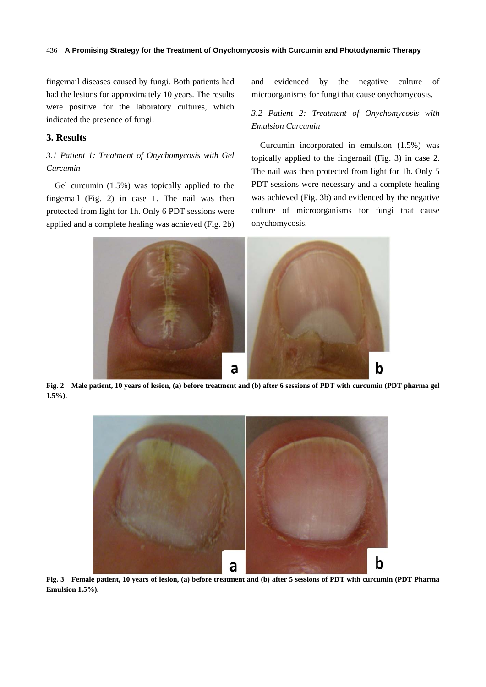#### **A Promising Strategy for the Treatment of Onychomycosis with Curcumin and Photodynamic Therapy**  436

fingernail diseases caused by fungi. Both patients had had the lesions for approximately 10 years. The results were positive for the laboratory cultures, which indicated the presence of fungi.

## **3. Results**

## *3.1 Patient 1: Treatment of Onychomycosis with Gel Curcumin*

Gel curcumin (1.5%) was topically applied to the fingernail (Fig. 2) in case 1. The nail was then protected from light for 1h. Only 6 PDT sessions were applied and a complete healing was achieved (Fig. 2b) and evidenced by the negative culture of microorganisms for fungi that cause onychomycosis.

# *3.2 Patient 2: Treatment of Onychomycosis with Emulsion Curcumin*

Curcumin incorporated in emulsion (1.5%) was topically applied to the fingernail (Fig. 3) in case 2. The nail was then protected from light for 1h. Only 5 PDT sessions were necessary and a complete healing was achieved (Fig. 3b) and evidenced by the negative culture of microorganisms for fungi that cause onychomycosis.



**Fig. 2 Male patient, 10 years of lesion, (a) before treatment and (b) after 6 sessions of PDT with curcumin (PDT pharma gel 1.5%).** 



**Fig. 3 Female patient, 10 years of lesion, (a) before treatment and (b) after 5 sessions of PDT with curcumin (PDT Pharma Emulsion 1.5%).**